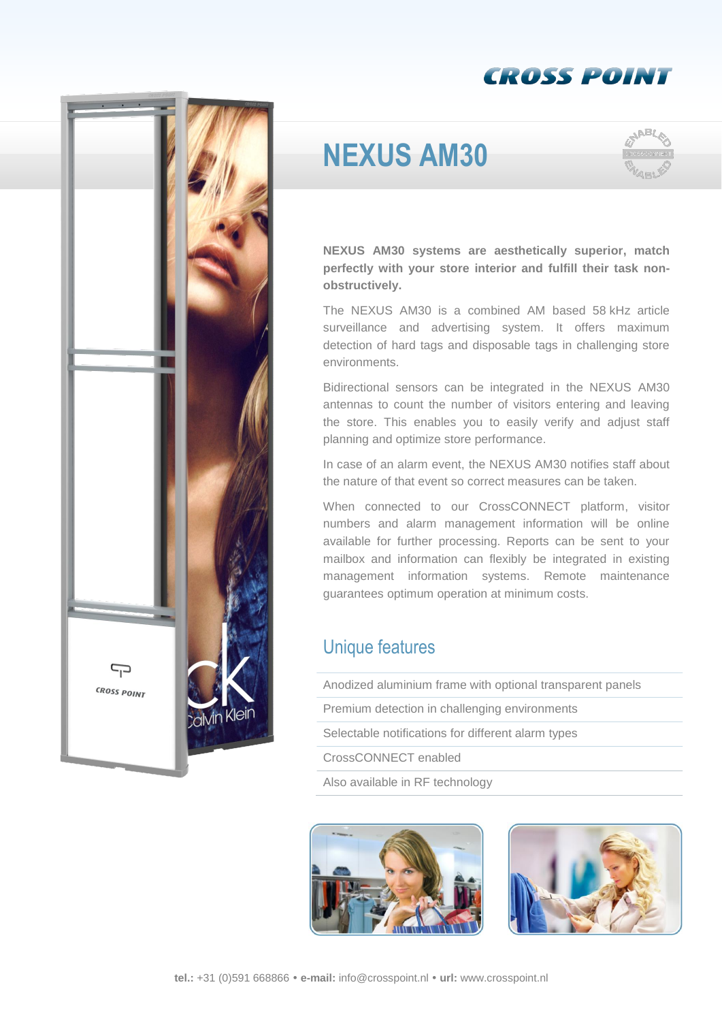



## **NEXUS AM30**



**NEXUS AM30 systems are aesthetically superior, match perfectly with your store interior and fulfill their task nonobstructively.**

The NEXUS AM30 is a combined AM based 58 kHz article surveillance and advertising system. It offers maximum detection of hard tags and disposable tags in challenging store environments.

Bidirectional sensors can be integrated in the NEXUS AM30 antennas to count the number of visitors entering and leaving the store. This enables you to easily verify and adjust staff planning and optimize store performance.

In case of an alarm event, the NEXUS AM30 notifies staff about the nature of that event so correct measures can be taken.

When connected to our CrossCONNECT platform, visitor numbers and alarm management information will be online available for further processing. Reports can be sent to your mailbox and information can flexibly be integrated in existing management information systems. Remote maintenance guarantees optimum operation at minimum costs.

## Unique features

| Anodized aluminium frame with optional transparent panels |
|-----------------------------------------------------------|
| Premium detection in challenging environments             |
| Selectable notifications for different alarm types        |
| CrossCONNECT enabled                                      |
| Also available in RF technology                           |